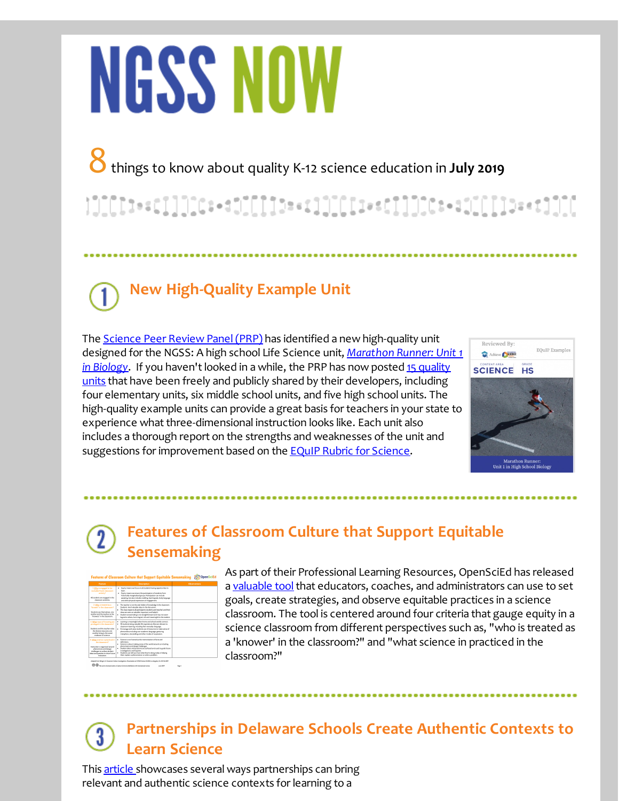# **NGSS NOW**

8things to know about quality K-12 science education in **July <sup>2019</sup>**

### **New High-Quality Example Unit**

The **Science Peer Review Panel (PRP)** has identified a new high-quality unit designed for the NGSS: A high school Life Science unit, *Marathon Runner: Unit 1* in Biology. If you [haven](http://r20.rs6.net/tn.jsp?f=001xK1_CpkS5s_qPnNMeAVx_oTDD8rljGY576HlbhwiBjkA1aF8cGXDWzvYIaKTKCA8h3vl0SHBaOz3cYGvWy_3uD-vxtkFvJrzvJKwo4dq2UIG60Erpx75xJYmUwEJpY8ZbwHMc3paXz4lK562IFrRYRg4iTV5z76ql2VZG-I1tr5BfEKyBq_ly5rGEuFsXhlHEjhI3npjEWwfFSOr6Oz7502GHdevkhQpLeSzkWUOjguhdzf4TW-OVZNQzgTTMQEz&c=&ch=)['](http://r20.rs6.net/tn.jsp?f=001xK1_CpkS5s_qPnNMeAVx_oTDD8rljGY576HlbhwiBjkA1aF8cGXDW-nM5Ay11zHjEezTT-fiW-408btuf9wiMeyUcCHuquw_ATg3TK7VVAYJR_TTAQAu857zssykS0mJxaZdzXYll10X07-RSHe_NOgywJHeT06SnUpYrOkypywiL92uvx7lHWj1LmXkYAaLnD5GJirDK5Qb5SM-aR0PuequqItkkF5bjGUc7tBBWQuxEahA6DobabY7z4lOsaaa&c=&ch=)t looked in a while, the PRP has now posted 15 quality units that have been freely and publicly shared by their developers, including four elementary units, six middle school units, and five high school units. The high-quality example units can provide a great basis for teachers in your state to experience what three-dimensional instruction looks like. Each unit also includes a thorough report on the strengths and weaknesses of the unit and suggestions for improvement based on the **EQuIP Rubric for [Science](http://r20.rs6.net/tn.jsp?f=001xK1_CpkS5s_qPnNMeAVx_oTDD8rljGY576HlbhwiBjkA1aF8cGXDWzvYIaKTKCA8Aag8yUVa-sfRLVyOIp6uLGwIHd5F_Zbxm1SguMgPalWgPgqMDG2ACRbopdGXLsGo_QfWIz3ahGX7VevfYpbFbG56r4_Khw1WvaBo4J7CO9vOxvR67KgamUN2ztRNEjEyNhNzupky-jZ5nBd2VDCwT7gzp6Zem8eX&c=&ch=)**.



#### **Features of Classroom Culture that Support Equitable Sensemaking**

| Feature                                                                                                                                                                                              | Description                                                                                                                                                                                                                                                                                                                                                                                                           | Ohnerotines |
|------------------------------------------------------------------------------------------------------------------------------------------------------------------------------------------------------|-----------------------------------------------------------------------------------------------------------------------------------------------------------------------------------------------------------------------------------------------------------------------------------------------------------------------------------------------------------------------------------------------------------------------|-------------|
| 1. Who is engaged in for<br>earliabel fived classroom<br>activity?<br>All students are engaged in the<br>dasarraya artistica                                                                         | Equity means we focus on all students having opportunities to<br>٠.<br><b>MANY</b><br>. Equity means we ensure the participation of students from<br>Nittorically marginalized groups. Participation can include<br>speaking, but also includes nodding hand signals, body language<br>and other physical expressions of engagement.                                                                                  |             |
| 2. Who is treated as a<br>"knower" in the dassroom?<br>Christianity one thermoethers come<br>anyther and the teacher as the<br>"branques" in the classactory.                                        | . The teacher is not the sole holder of knowledge in the classroom.<br>Students land using his plans to the discussion.<br>. The class respects all participants bisidents and teacher) and their<br>ideas are seen as valuable, important, and helpful.<br>. Student sensemaking is not straightforward and may not seem.<br>logical to others, but is logical, rich and meaningful to the student.                  |             |
| 3. What wave of knowing are<br>privileged in the classroom?<br>Students and the teacher value.<br>the cluster statution con-<br>another bring to the social<br>endeavor of science.                  | Learning is meaningful when home and school worlds connect.<br>٠<br>All students bring valuable life experiences that are relevant to<br>٠<br>classroom learning, including their everyday language.<br>. Encourage and value students use of resources to make sense of<br>shenomena including non-academic language, preturing,<br>metaphon, storyteling and other modes of expression.                             |             |
| 4. What spierce is practiced in<br>the classroom?<br>Instruction is negatived ground<br>phenomena and design<br>challenges to surface student.<br>ideas and mantion to drive future.<br>instruction. | . Science is not four-ed as the memorination of facts and<br><b>Arlinitivo</b><br>. Science is about making sense of the world around us including<br>ahenomena and design challenges.<br>. Student ideas and questions are surfaced and used to guide future<br>investigations and inquiries.<br>Students can tell you how what they're doing today is helping<br>٠<br>them explain a phenomenon or solve a problem. |             |

As part of their Professional Learning Resources, OpenSciEd has released a [valuable](http://r20.rs6.net/tn.jsp?f=001xK1_CpkS5s_qPnNMeAVx_oTDD8rljGY576HlbhwiBjkA1aF8cGXDW-nM5Ay11zHj0eu-AKMVzyVr93Pg23prMF57p0Ah2z9P1HdGyMrhogGOawaVU0JuGeUUdonP3otVJoVJICbmoYE84Gh4gbj-Gq_gTPWZ-UtSgEg2TZB9DDlqcIaFi9mMVlc1XZQNayLLaJHSOjY9YcuiAXMOZo0io9qe6-LqMClSPlGB1MZCdCsQ5jmGFHo7pQ==&c=&ch=) tool that educators, coaches, and administrators can use to set goals, create strategies, and observe equitable practices in a science classroom. The tool is centered around four criteria that gauge equity in a science classroom from different perspectives such as, "who is treated as a 'knower' in the classroom?" and "what science in practiced in the classroom?"

#### **Partnerships in Delaware Schools Create Authentic Contexts to Learn Science**

This [article](http://r20.rs6.net/tn.jsp?f=001xK1_CpkS5s_qPnNMeAVx_oTDD8rljGY576HlbhwiBjkA1aF8cGXDW-nM5Ay11zHjD2XW45HqP4toe_vb6S-ErDQMhIh6_lbUoJoCxz3fsUkCRhJNyyUjaWKtAOmhRpfF9WhvhlxbQSJ0iGUZQAKamldh-kHqaT3XuRhYY59-4ucVymNblPl_Bzmu1p-v6z1OU-6JU4-ANW0YZo4YedcOVDUDJf9Dls2V_ueHefFwBPnFpF9iq4ZSkv-DTDmDqqq-CLvN6pMg9JYJW7gktZHaE_C08uHfl86PUdsk58Td310mxAW8rYJhSl69P0ha_1kC&c=&ch=) showcases several ways partnerships can bring relevant and authentic science contexts for learning to a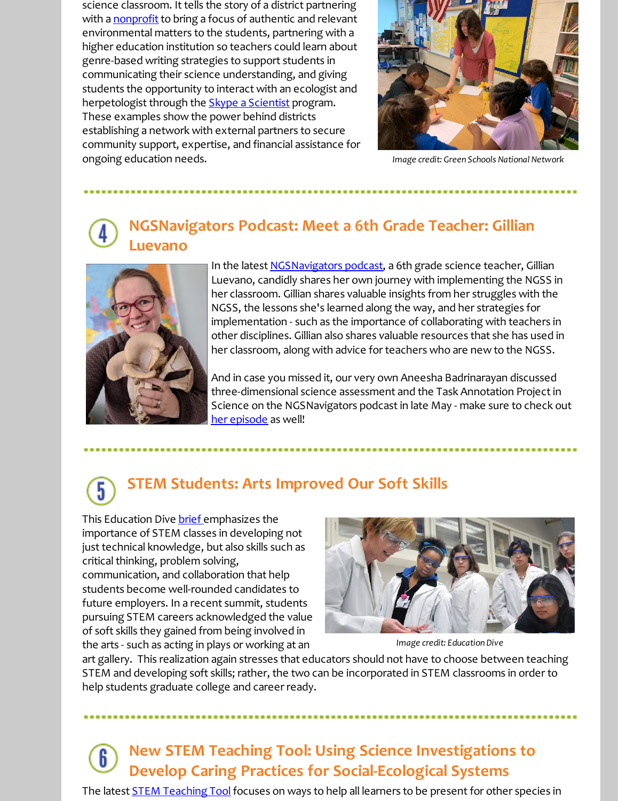science classroom. It tells the story of a district partnering with a **[nonprofit](http://r20.rs6.net/tn.jsp?f=001xK1_CpkS5s_qPnNMeAVx_oTDD8rljGY576HlbhwiBjkA1aF8cGXDW-nM5Ay11zHjxsS-UIU11rw0urhJM6B3jRso5nS4H1QyYcvbNs1YoUknseO3fJYmAe_N4rfhAE_TMLPgM3jitKefqct7PIL3DO7ah39hFfS_2NVjK7d3yDbu6H3fsZ0EE8_Y9sMoER8HJPnPN7bpj0fqd0-OCVXEKg==&c=&ch=)** to bring a focus of authentic and relevant environmental matters to the students, partnering with a higher education institution so teachers could learn about genre-based writing strategies to support students in communicating their science understanding, and giving students the opportunity to interact with an ecologist and herpetologist through the **Skype a [Scientist](http://r20.rs6.net/tn.jsp?f=001xK1_CpkS5s_qPnNMeAVx_oTDD8rljGY576HlbhwiBjkA1aF8cGXDW1K7pa_1Xmr35VciGOUl9f0lyyJ_UivIgPG52bDYYjO3UN4a9Z53KYo4_nDOiDWglu_-wihL4hVrSDw7hz0eAsiug0yuBhohtQlNnHTJOsIPNkOSiyXu92lk3zvDr7SAEg==&c=&ch=)** program. These examples show the power behind districts establishing a network with external partners to secure community support, expertise, and financial assistance for ongoing education needs.



*Image credit: Green Schools National Network*

#### **NGSNavigators Podcast: Meet a 6th Grade Teacher: Gillian Luevano**



In the latest **[NGSNavigators](http://r20.rs6.net/tn.jsp?f=001xK1_CpkS5s_qPnNMeAVx_oTDD8rljGY576HlbhwiBjkA1aF8cGXDW-nM5Ay11zHj8XNwz-p_rKvY3LLtQhFux4gdxBmbHcJuvtXY7UNogxM9_t7c2ViwOIf84G9wcMoxIE37LYwjs1gXSQ8_r7F8ULNf_jnbK1m434du0NPd0iRweO1DVgviYwCVWGl5PokG&c=&ch=) podcast**, a 6th grade science teacher, Gillian Luevano, candidly shares her own journey with implementing the NGSS in her classroom. Gillian shares valuable insights from her struggles with the NGSS, the lessons she's learned along the way, and her strategies for implementation - such as the importance of collaborating with teachers in other disciplines. Gillian also shares valuable resources that she has used in her classroom, along with advice for teachers who are new to the NGSS.

And in case you missed it, our very own Aneesha Badrinarayan discussed three-dimensional science assessment and the Task Annotation Project in Science on the NGSNavigators podcast in late May - make sure to check out her [episode](http://r20.rs6.net/tn.jsp?f=001xK1_CpkS5s_qPnNMeAVx_oTDD8rljGY576HlbhwiBjkA1aF8cGXDW-nM5Ay11zHjirwMzeiE1dzmNq9HDT5Cz7RDVV9K3fv5f4jqoD10B9r8fhu6C7E1Oai6G1X25QdACaI7yONI3msf_l2Bq_wg5WZLWvGc97DoAAp0cFrdiAp54jOPEoVztycnaqFKVjq3&c=&ch=) as well!

#### **STEM Students: Arts Improved Our Soft Skills** 5

This Education Dive [brief](http://r20.rs6.net/tn.jsp?f=001xK1_CpkS5s_qPnNMeAVx_oTDD8rljGY576HlbhwiBjkA1aF8cGXDWzvYIaKTKCA8AY0Soyh2awr0_iS3_pGW2vx711x2u6DbAriuyIKqbFnwc5uneAZ3CBP2NsjkNwI278B-v9nN4XSuNSQBO2Ihkhvu6-hPgGyEs1rjYHdKTDFmxdlm-eLdBxXoa_VeNZ38t3D6x-2c08Ohk9qyT5DSL4psHrptPnHZX3Xl3D2hG-q7e6B4g3UNzTDpxp_ShBkER6hPvMZRlPA=&c=&ch=) emphasizes the importance of STEM classes in developing not just technical knowledge, but also skills such as critical thinking, problem solving, communication, and collaboration that help students become well-rounded candidates to future employers. In a recent summit, students pursuing STEM careers acknowledged the value of soft skills they gained from being involved in the arts - such as acting in plays or working at an



*Image credit: Education Dive*

art gallery. This realization again stresses that educators should not have to choose between teaching STEM and developing soft skills; rather, the two can be incorporated in STEM classrooms in order to help students graduate college and career ready.

#### **New STEM Teaching Tool: Using Science Investigations to Develop Caring Practices for Social-Ecological Systems**

The latest **STEM [Teaching](http://r20.rs6.net/tn.jsp?f=001xK1_CpkS5s_qPnNMeAVx_oTDD8rljGY576HlbhwiBjkA1aF8cGXDW-nM5Ay11zHjaaB0-VRX60YFpiRSAJJH_kvtl6u4HlM_IoUa-xH3-TuCvbNtP3RG3TlqWamlax8i7NNq8-4pHJUzGDLxzrEIDmEwhNp1JwwZ3N23X_tfU296bcm0IV5GsxYhxM2-3XEH&c=&ch=) Tool** focuses on ways to help all learners to be present for other species in